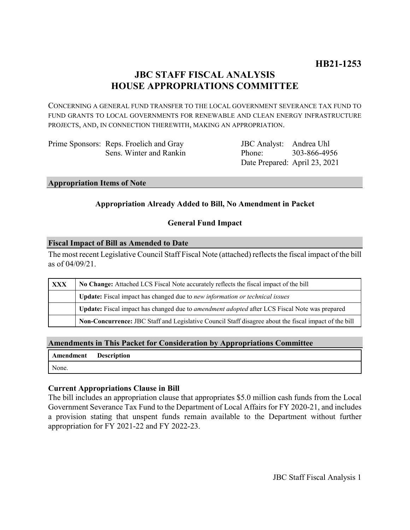# **JBC STAFF FISCAL ANALYSIS HOUSE APPROPRIATIONS COMMITTEE**

CONCERNING A GENERAL FUND TRANSFER TO THE LOCAL GOVERNMENT SEVERANCE TAX FUND TO FUND GRANTS TO LOCAL GOVERNMENTS FOR RENEWABLE AND CLEAN ENERGY INFRASTRUCTURE PROJECTS, AND, IN CONNECTION THEREWITH, MAKING AN APPROPRIATION.

Prime Sponsors: Reps. Froelich and Gray Sens. Winter and Rankin

JBC Analyst: Andrea Uhl Phone: Date Prepared: April 23, 2021 303-866-4956

#### **Appropriation Items of Note**

# **Appropriation Already Added to Bill, No Amendment in Packet**

## **General Fund Impact**

#### **Fiscal Impact of Bill as Amended to Date**

The most recent Legislative Council Staff Fiscal Note (attached) reflects the fiscal impact of the bill as of 04/09/21.

| <b>XXX</b> | No Change: Attached LCS Fiscal Note accurately reflects the fiscal impact of the bill                 |
|------------|-------------------------------------------------------------------------------------------------------|
|            | Update: Fiscal impact has changed due to new information or technical issues                          |
|            | Update: Fiscal impact has changed due to <i>amendment adopted</i> after LCS Fiscal Note was prepared  |
|            | Non-Concurrence: JBC Staff and Legislative Council Staff disagree about the fiscal impact of the bill |

## **Amendments in This Packet for Consideration by Appropriations Committee**

| Amendment | <b>Description</b> |
|-----------|--------------------|
| None.     |                    |

## **Current Appropriations Clause in Bill**

The bill includes an appropriation clause that appropriates \$5.0 million cash funds from the Local Government Severance Tax Fund to the Department of Local Affairs for FY 2020-21, and includes a provision stating that unspent funds remain available to the Department without further appropriation for FY 2021-22 and FY 2022-23.